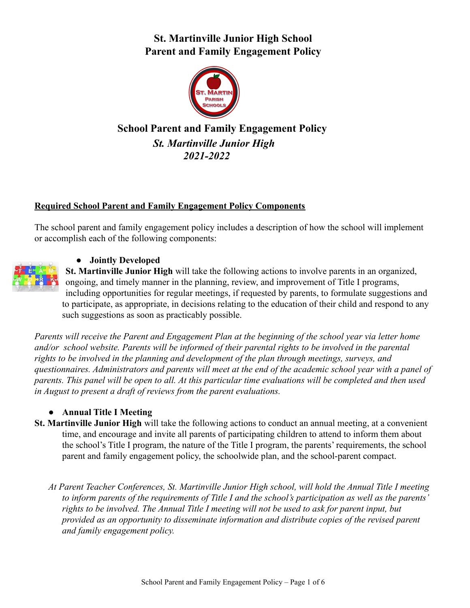# **St. Martinville Junior High School Parent and Family Engagement Policy**



# **School Parent and Family Engagement Policy** *St. Martinville Junior High 2021-2022*

## **Required School Parent and Family Engagement Policy Components**

The school parent and family engagement policy includes a description of how the school will implement or accomplish each of the following components:



## ● **Jointly Developed**

**St. Martinville Junior High** will take the following actions to involve parents in an organized, ongoing, and timely manner in the planning, review, and improvement of Title I programs, including opportunities for regular meetings, if requested by parents, to formulate suggestions and to participate, as appropriate, in decisions relating to the education of their child and respond to any such suggestions as soon as practicably possible.

*Parents will receive the Parent and Engagement Plan at the beginning of the school year via letter home and/or school website. Parents will be informed of their parental rights to be involved in the parental rights to be involved in the planning and development of the plan through meetings, surveys, and questionnaires. Administrators and parents will meet at the end of the academic school year with a panel of parents. This panel will be open to all. At this particular time evaluations will be completed and then used in August to present a draft of reviews from the parent evaluations.*

#### **● Annual Title I Meeting**

**St. Martinville Junior High** will take the following actions to conduct an annual meeting, at a convenient time, and encourage and invite all parents of participating children to attend to inform them about the school's Title I program, the nature of the Title I program, the parents' requirements, the school parent and family engagement policy, the schoolwide plan, and the school-parent compact.

*At Parent Teacher Conferences, St. Martinville Junior High school, will hold the Annual Title I meeting to inform parents of the requirements of Title I and the school's participation as well as the parents' rights to be involved. The Annual Title I meeting will not be used to ask for parent input, but provided as an opportunity to disseminate information and distribute copies of the revised parent and family engagement policy.*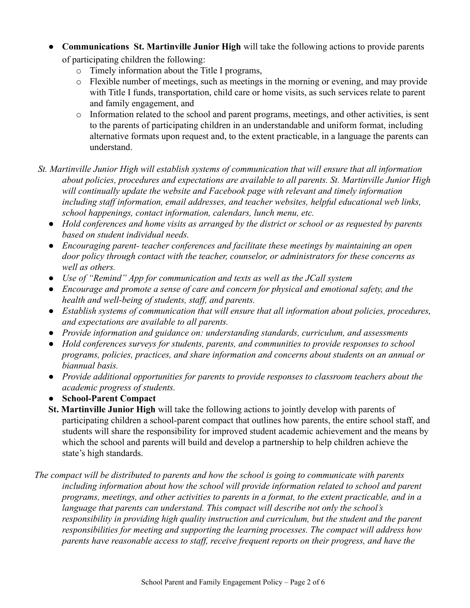● **Communications St. Martinville Junior High** will take the following actions to provide parents of participating children the following:

- o Timely information about the Title I programs,
- o Flexible number of meetings, such as meetings in the morning or evening, and may provide with Title I funds, transportation, child care or home visits, as such services relate to parent and family engagement, and
- o Information related to the school and parent programs, meetings, and other activities, is sent to the parents of participating children in an understandable and uniform format, including alternative formats upon request and, to the extent practicable, in a language the parents can understand.
- *St. Martinville Junior High will establish systems of communication that will ensure that all information about policies, procedures and expectations are available to all parents. St. Martinville Junior High will continually update the website and Facebook page with relevant and timely information including staff information, email addresses, and teacher websites, helpful educational web links, school happenings, contact information, calendars, lunch menu, etc.*
	- *● Hold conferences and home visits as arranged by the district or school or as requested by parents based on student individual needs.*
	- *● Encouraging parent- teacher conferences and facilitate these meetings by maintaining an open door policy through contact with the teacher, counselor, or administrators for these concerns as well as others.*
	- *● Use of "Remind" App for communication and texts as well as the JCall system*
	- *● Encourage and promote a sense of care and concern for physical and emotional safety, and the health and well-being of students, staff, and parents.*
	- *● Establish systems of communication that will ensure that all information about policies, procedures, and expectations are available to all parents.*
	- *● Provide information and guidance on: understanding standards, curriculum, and assessments*
	- *● Hold conferences surveys for students, parents, and communities to provide responses to school programs, policies, practices, and share information and concerns about students on an annual or biannual basis.*
	- *● Provide additional opportunities for parents to provide responses to classroom teachers about the academic progress of students.*
	- **● School-Parent Compact**
	- **St. Martinville Junior High** will take the following actions to jointly develop with parents of participating children a school-parent compact that outlines how parents, the entire school staff, and students will share the responsibility for improved student academic achievement and the means by which the school and parents will build and develop a partnership to help children achieve the state's high standards.
- *The compact will be distributed to parents and how the school is going to communicate with parents including information about how the school will provide information related to school and parent programs, meetings, and other activities to parents in a format, to the extent practicable, and in a language that parents can understand. This compact will describe not only the school's responsibility in providing high quality instruction and curriculum, but the student and the parent responsibilities for meeting and supporting the learning processes. The compact will address how parents have reasonable access to staff, receive frequent reports on their progress, and have the*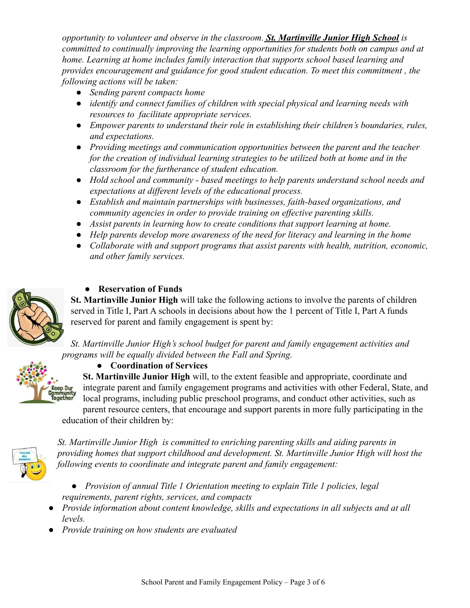*opportunity to volunteer and observe in the classroom. St. Martinville Junior High School is committed to continually improving the learning opportunities for students both on campus and at home. Learning at home includes family interaction that supports school based learning and provides encouragement and guidance for good student education. To meet this commitment , the following actions will be taken:*

- *● Sending parent compacts home*
- *● identify and connect families of children with special physical and learning needs with resources to facilitate appropriate services.*
- *● Empower parents to understand their role in establishing their children's boundaries, rules, and expectations.*
- *● Providing meetings and communication opportunities between the parent and the teacher for the creation of individual learning strategies to be utilized both at home and in the classroom for the furtherance of student education.*
- *● Hold school and community based meetings to help parents understand school needs and expectations at different levels of the educational process.*
- *● Establish and maintain partnerships with businesses, faith-based organizations, and community agencies in order to provide training on effective parenting skills.*
- *● Assist parents in learning how to create conditions that support learning at home.*
- *● Help parents develop more awareness of the need for literacy and learning in the home*
- *● Collaborate with and support programs that assist parents with health, nutrition, economic, and other family services.*



**Keep Our<br>Community<br>Together** 

## **● Reservation of Funds**

**St. Martinville Junior High** will take the following actions to involve the parents of children served in Title I, Part A schools in decisions about how the 1 percent of Title I, Part A funds reserved for parent and family engagement is spent by:

*St. Martinville Junior High's school budget for parent and family engagement activities and programs will be equally divided between the Fall and Spring.*

**● Coordination of Services**

**St. Martinville Junior High** will, to the extent feasible and appropriate, coordinate and integrate parent and family engagement programs and activities with other Federal, State, and local programs, including public preschool programs, and conduct other activities, such as parent resource centers, that encourage and support parents in more fully participating in the

education of their children by:



*St. Martinville Junior High is committed to enriching parenting skills and aiding parents in providing homes that support childhood and development. St. Martinville Junior High will host the following events to coordinate and integrate parent and family engagement:*

- *● Provision of annual Title 1 Orientation meeting to explain Title 1 policies, legal requirements, parent rights, services, and compacts*
- *● Provide information about content knowledge, skills and expectations in all subjects and at all levels.*
- *● Provide training on how students are evaluated*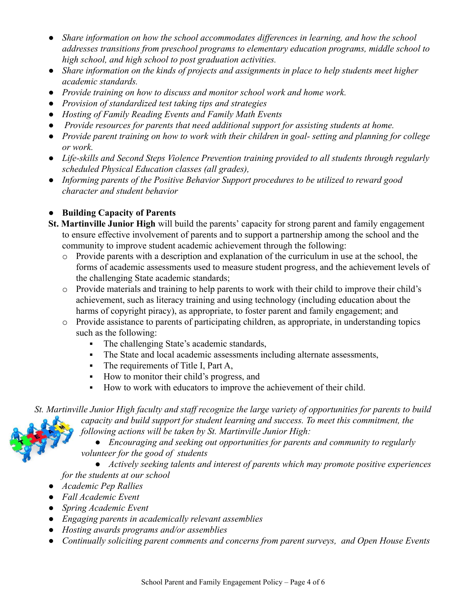- *● Share information on how the school accommodates differences in learning, and how the school addresses transitions from preschool programs to elementary education programs, middle school to high school, and high school to post graduation activities.*
- *● Share information on the kinds of projects and assignments in place to help students meet higher academic standards.*
- *● Provide training on how to discuss and monitor school work and home work.*
- *● Provision of standardized test taking tips and strategies*
- *● Hosting of Family Reading Events and Family Math Events*
- *● Provide resources for parents that need additional support for assisting students at home.*
- *● Provide parent training on how to work with their children in goal- setting and planning for college or work.*
- *● Life-skills and Second Steps Violence Prevention training provided to all students through regularly scheduled Physical Education classes (all grades),*
- *● Informing parents of the Positive Behavior Support procedures to be utilized to reward good character and student behavior*

## **● Building Capacity of Parents**

- **St. Martinville Junior High** will build the parents' capacity for strong parent and family engagement to ensure effective involvement of parents and to support a partnership among the school and the community to improve student academic achievement through the following:
	- $\circ$  Provide parents with a description and explanation of the curriculum in use at the school, the forms of academic assessments used to measure student progress, and the achievement levels of the challenging State academic standards;
	- o Provide materials and training to help parents to work with their child to improve their child's achievement, such as literacy training and using technology (including education about the harms of copyright piracy), as appropriate, to foster parent and family engagement; and
	- o Provide assistance to parents of participating children, as appropriate, in understanding topics such as the following:
		- The challenging State's academic standards,
		- The State and local academic assessments including alternate assessments,
		- The requirements of Title I, Part A,
		- How to monitor their child's progress, and
		- How to work with educators to improve the achievement of their child.

*St. Martinville Junior High faculty and staff recognize the large variety of opportunities for parents to build capacity and build support for student learning and success. To meet this commitment, the following actions will be taken by St. Martinville Junior High:*

> *● Encouraging and seeking out opportunities for parents and community to regularly volunteer for the good of students*

*● Actively seeking talents and interest of parents which may promote positive experiences for the students at our school*

- *● Academic Pep Rallies*
- *● Fall Academic Event*
- *● Spring Academic Event*
- *● Engaging parents in academically relevant assemblies*
- *● Hosting awards programs and/or assemblies*
- *● Continually soliciting parent comments and concerns from parent surveys, and Open House Events*

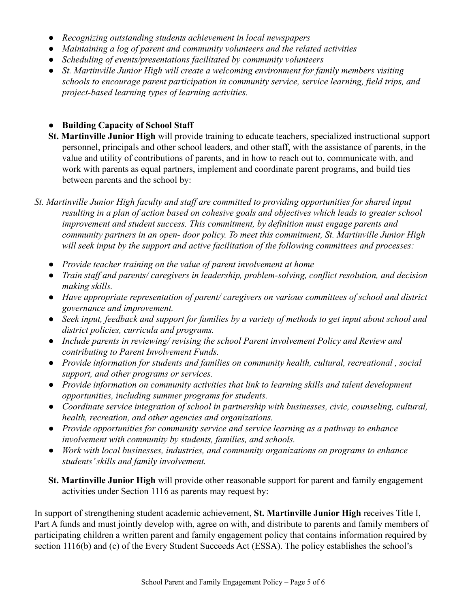- *● Recognizing outstanding students achievement in local newspapers*
- *● Maintaining a log of parent and community volunteers and the related activities*
- *● Scheduling of events/presentations facilitated by community volunteers*
- *● St. Martinville Junior High will create a welcoming environment for family members visiting schools to encourage parent participation in community service, service learning, field trips, and project-based learning types of learning activities.*

## **● Building Capacity of School Staff**

- **St. Martinville Junior High** will provide training to educate teachers, specialized instructional support personnel, principals and other school leaders, and other staff, with the assistance of parents, in the value and utility of contributions of parents, and in how to reach out to, communicate with, and work with parents as equal partners, implement and coordinate parent programs, and build ties between parents and the school by:
- *St. Martinville Junior High faculty and staff are committed to providing opportunities for shared input resulting in a plan of action based on cohesive goals and objectives which leads to greater school improvement and student success. This commitment, by definition must engage parents and community partners in an open- door policy. To meet this commitment, St. Martinville Junior High will seek input by the support and active facilitation of the following committees and processes:*
	- *● Provide teacher training on the value of parent involvement at home*
	- *● Train staff and parents/ caregivers in leadership, problem-solving, conflict resolution, and decision making skills.*
	- *● Have appropriate representation of parent/ caregivers on various committees of school and district governance and improvement.*
	- *● Seek input, feedback and support for families by a variety of methods to get input about school and district policies, curricula and programs.*
	- *● Include parents in reviewing/ revising the school Parent involvement Policy and Review and contributing to Parent Involvement Funds.*
	- *● Provide information for students and families on community health, cultural, recreational , social support, and other programs or services.*
	- *● Provide information on community activities that link to learning skills and talent development opportunities, including summer programs for students.*
	- *● Coordinate service integration of school in partnership with businesses, civic, counseling, cultural, health, recreation, and other agencies and organizations.*
	- *● Provide opportunities for community service and service learning as a pathway to enhance involvement with community by students, families, and schools.*
	- *● Work with local businesses, industries, and community organizations on programs to enhance students' skills and family involvement.*
	- **St. Martinville Junior High** will provide other reasonable support for parent and family engagement activities under Section 1116 as parents may request by:

In support of strengthening student academic achievement, **St. Martinville Junior High** receives Title I, Part A funds and must jointly develop with, agree on with, and distribute to parents and family members of participating children a written parent and family engagement policy that contains information required by section 1116(b) and (c) of the Every Student Succeeds Act (ESSA). The policy establishes the school's